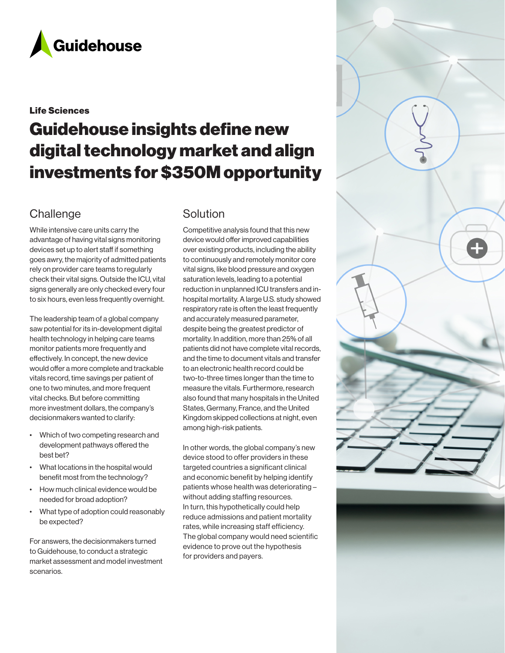

### Life Sciences

# Guidehouse insights define new digital technology market and align investments for \$350M opportunity

# **Challenge**

While intensive care units carry the advantage of having vital signs monitoring devices set up to alert staff if something goes awry, the majority of admitted patients rely on provider care teams to regularly check their vital signs. Outside the ICU, vital signs generally are only checked every four to six hours, even less frequently overnight.

The leadership team of a global company saw potential for its in-development digital health technology in helping care teams monitor patients more frequently and effectively. In concept, the new device would offer a more complete and trackable vitals record, time savings per patient of one to two minutes, and more frequent vital checks. But before committing more investment dollars, the company's decisionmakers wanted to clarify:

- Which of two competing research and development pathways offered the best bet?
- What locations in the hospital would benefit most from the technology?
- How much clinical evidence would be needed for broad adoption?
- What type of adoption could reasonably be expected?

For answers, the decisionmakers turned to Guidehouse, to conduct a strategic market assessment and model investment scenarios.

# Solution

Competitive analysis found that this new device would offer improved capabilities over existing products, including the ability to continuously and remotely monitor core vital signs, like blood pressure and oxygen saturation levels, leading to a potential reduction in unplanned ICU transfers and inhospital mortality. A large U.S. study showed respiratory rate is often the least frequently and accurately measured parameter, despite being the greatest predictor of mortality. In addition, more than 25% of all patients did not have complete vital records, and the time to document vitals and transfer to an electronic health record could be two-to-three times longer than the time to measure the vitals. Furthermore, research also found that many hospitals in the United States, Germany, France, and the United Kingdom skipped collections at night, even among high-risk patients.

In other words, the global company's new device stood to offer providers in these targeted countries a significant clinical and economic benefit by helping identify patients whose health was deteriorating – without adding staffing resources. In turn, this hypothetically could help reduce admissions and patient mortality rates, while increasing staff efficiency. The global company would need scientific evidence to prove out the hypothesis for providers and payers.